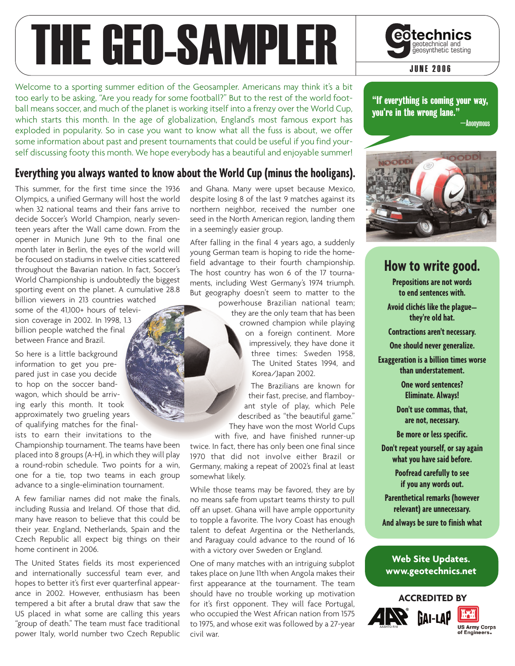# THE GEO-SAMPLER GOtechnical and

Welcome to a sporting summer edition of the Geosampler. Americans may think it's a bit too early to be asking, "Are you ready for some football?" But to the rest of the world football means soccer, and much of the planet is working itself into a frenzy over the World Cup, which starts this month. In the age of globalization, England's most famous export has exploded in popularity. So in case you want to know what all the fuss is about, we offer some information about past and present tournaments that could be useful if you find yourself discussing footy this month. We hope everybody has a beautiful and enjoyable summer!

#### **Everything you always wanted to know about the World Cup (minus the hooligans).**

This summer, for the first time since the 1936 Olympics, a unified Germany will host the world when 32 national teams and their fans arrive to decide Soccer's World Champion, nearly seventeen years after the Wall came down. From the opener in Munich June 9th to the final one month later in Berlin, the eyes of the world will be focused on stadiums in twelve cities scattered throughout the Bavarian nation. In fact, Soccer's World Championship is undoubtedly the biggest sporting event on the planet. A cumulative 28.8 billion viewers in 213 countries watched some of the 41,100+ hours of televi-

sion coverage in 2002. In 1998, 1.3 billion people watched the final between France and Brazil.

So here is a little background information to get you prepared just in case you decide to hop on the soccer bandwagon, which should be arriving early this month. It took approximately two grueling years of qualifying matches for the final-

ists to earn their invitations to the Championship tournament. The teams have been placed into 8 groups (A-H), in which they will play a round-robin schedule. Two points for a win, one for a tie, top two teams in each group advance to a single-elimination tournament.

A few familiar names did not make the finals, including Russia and Ireland. Of those that did, many have reason to believe that this could be their year. England, Netherlands, Spain and the Czech Republic all expect big things on their home continent in 2006.

The United States fields its most experienced and internationally successful team ever, and hopes to better it's first ever quarterfinal appearance in 2002. However, enthusiasm has been tempered a bit after a brutal draw that saw the US placed in what some are calling this years "group of death." The team must face traditional power Italy, world number two Czech Republic

and Ghana. Many were upset because Mexico, despite losing 8 of the last 9 matches against its northern neighbor, received the number one seed in the North American region, landing them in a seemingly easier group.

After falling in the final 4 years ago, a suddenly young German team is hoping to ride the homefield advantage to their fourth championship. The host country has won 6 of the 17 tournaments, including West Germany's 1974 triumph. But geography doesn't seem to matter to the

powerhouse Brazilian national team; they are the only team that has been crowned champion while playing on a foreign continent. More impressively, they have done it three times: Sweden 1958, The United States 1994, and Korea/Japan 2002.

The Brazilians are known for their fast, precise, and flamboyant style of play, which Pele described as "the beautiful game." They have won the most World Cups

with five, and have finished runner-up twice. In fact, there has only been one final since 1970 that did not involve either Brazil or Germany, making a repeat of 2002's final at least somewhat likely.

While those teams may be favored, they are by no means safe from upstart teams thirsty to pull off an upset. Ghana will have ample opportunity to topple a favorite. The Ivory Coast has enough talent to defeat Argentina or the Netherlands, and Paraguay could advance to the round of 16 with a victory over Sweden or England.

One of many matches with an intriguing subplot takes place on June 11th when Angola makes their first appearance at the tournament. The team should have no trouble working up motivation for it's first opponent. They will face Portugal, who occupied the West African nation from 1575 to 1975, and whose exit was followed by a 27-year civil war.

"If everything is coming your way, you're in the wrong lane." —Anonymous



### **How to write good.**

**Prepositions are not words to end sentences with.**

**Avoid clichés like the plague— they're old hat.**

**Contractions aren't necessary.**

**One should never generalize.**

**Exaggeration is a billion times worse than understatement.**

> **One word sentences? Eliminate. Always!**

**Don't use commas, that, are not, necessary.**

**Be more or less specific.**

**Don't repeat yourself, or say again what you have said before.**

> **Poofread carefully to see if you any words out.**

**Parenthetical remarks (however relevant) are unnecessary.**

**And always be sure to finish what**

#### **Web Site Updates. www.geotechnics.net**







**JUNE 2006**